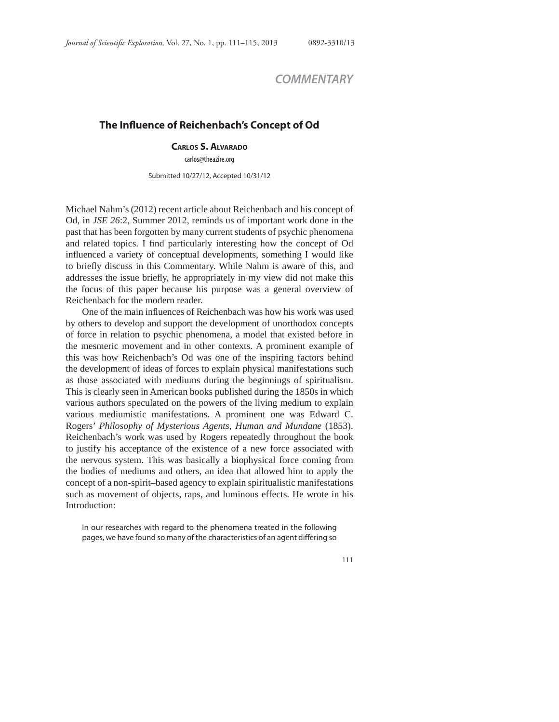## *COMMENTARY*

## **The Influence of Reichenbach's Concept of Od**

## **CARLOS S. ALVARADO**

carlos@theazire.org

Submitted 10/27/12, Accepted 10/31/12

Michael Nahm's (2012) recent article about Reichenbach and his concept of Od, in *JSE 26*:2, Summer 2012, reminds us of important work done in the past that has been forgotten by many current students of psychic phenomena and related topics. I find particularly interesting how the concept of Od influenced a variety of conceptual developments, something I would like to briefly discuss in this Commentary. While Nahm is aware of this, and addresses the issue briefly, he appropriately in my view did not make this the focus of this paper because his purpose was a general overview of Reichenbach for the modern reader.

One of the main influences of Reichenbach was how his work was used by others to develop and support the development of unorthodox concepts of force in relation to psychic phenomena, a model that existed before in the mesmeric movement and in other contexts. A prominent example of this was how Reichenbach's Od was one of the inspiring factors behind the development of ideas of forces to explain physical manifestations such as those associated with mediums during the beginnings of spiritualism. This is clearly seen in American books published during the 1850s in which various authors speculated on the powers of the living medium to explain various mediumistic manifestations. A prominent one was Edward C. Rogers' *Philosophy of Mysterious Agents, Human and Mundane* (1853). Reichenbach's work was used by Rogers repeatedly throughout the book to justify his acceptance of the existence of a new force associated with the nervous system. This was basically a biophysical force coming from the bodies of mediums and others, an idea that allowed him to apply the concept of a non-spirit–based agency to explain spiritualistic manifestations such as movement of objects, raps, and luminous effects. He wrote in his Introduction:

In our researches with regard to the phenomena treated in the following pages, we have found so many of the characteristics of an agent differing so

111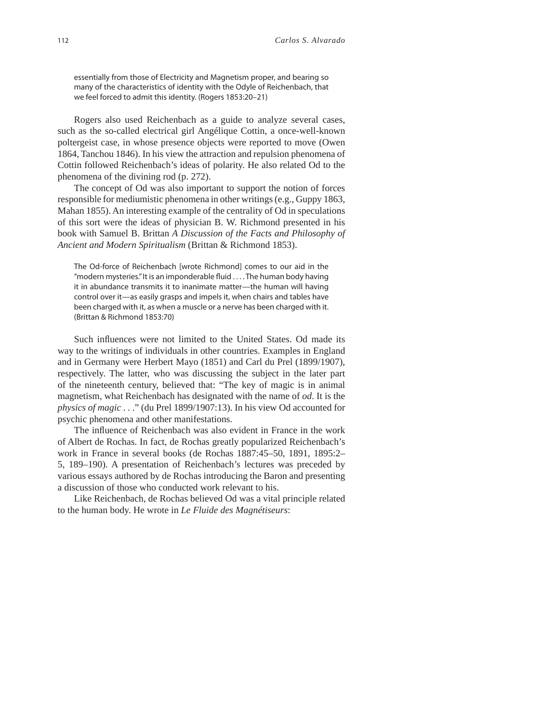essentially from those of Electricity and Magnetism proper, and bearing so many of the characteristics of identity with the Odyle of Reichenbach, that we feel forced to admit this identity. (Rogers 1853:20–21)

Rogers also used Reichenbach as a guide to analyze several cases, such as the so-called electrical girl Angélique Cottin, a once-well-known poltergeist case, in whose presence objects were reported to move (Owen 1864, Tanchou 1846). In his view the attraction and repulsion phenomena of Cottin followed Reichenbach's ideas of polarity. He also related Od to the phenomena of the divining rod (p. 272).

The concept of Od was also important to support the notion of forces responsible for mediumistic phenomena in other writings (e.g., Guppy 1863, Mahan 1855). An interesting example of the centrality of Od in speculations of this sort were the ideas of physician B. W. Richmond presented in his book with Samuel B. Brittan *A Discussion of the Facts and Philosophy of Ancient and Modern Spiritualism* (Brittan & Richmond 1853).

The Od-force of Reichenbach [wrote Richmond] comes to our aid in the "modern mysteries." It is an imponderable fluid . . . . The human body having it in abundance transmits it to inanimate matter—the human will having control over it—as easily grasps and impels it, when chairs and tables have been charged with it, as when a muscle or a nerve has been charged with it. (Brittan & Richmond 1853:70)

Such influences were not limited to the United States. Od made its way to the writings of individuals in other countries. Examples in England and in Germany were Herbert Mayo (1851) and Carl du Prel (1899/1907), respectively. The latter, who was discussing the subject in the later part of the nineteenth century, believed that: "The key of magic is in animal magnetism, what Reichenbach has designated with the name of *od*. It is the *physics of magic* . . ." (du Prel 1899/1907:13). In his view Od accounted for psychic phenomena and other manifestations.

The influence of Reichenbach was also evident in France in the work of Albert de Rochas. In fact, de Rochas greatly popularized Reichenbach's work in France in several books (de Rochas 1887:45–50, 1891, 1895:2– 5, 189–190). A presentation of Reichenbach's lectures was preceded by various essays authored by de Rochas introducing the Baron and presenting a discussion of those who conducted work relevant to his.

Like Reichenbach, de Rochas believed Od was a vital principle related to the human body. He wrote in *Le Fluide des Magnétiseurs*: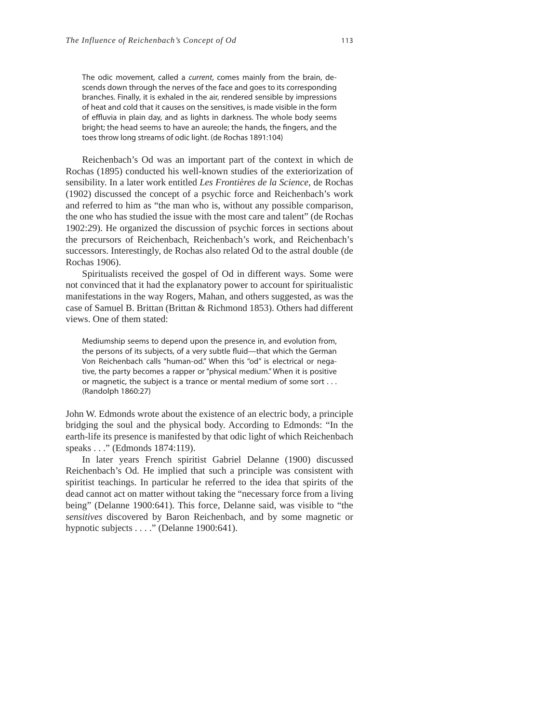The odic movement, called a current, comes mainly from the brain, descends down through the nerves of the face and goes to its corresponding branches. Finally, it is exhaled in the air, rendered sensible by impressions of heat and cold that it causes on the sensitives, is made visible in the form of effluvia in plain day, and as lights in darkness. The whole body seems bright; the head seems to have an aureole; the hands, the fingers, and the toes throw long streams of odic light. (de Rochas 1891:104)

Reichenbach's Od was an important part of the context in which de Rochas (1895) conducted his well-known studies of the exteriorization of sensibility. In a later work entitled *Les Frontières de la Science*, de Rochas (1902) discussed the concept of a psychic force and Reichenbach's work and referred to him as "the man who is, without any possible comparison, the one who has studied the issue with the most care and talent" (de Rochas 1902:29). He organized the discussion of psychic forces in sections about the precursors of Reichenbach, Reichenbach's work, and Reichenbach's successors. Interestingly, de Rochas also related Od to the astral double (de Rochas 1906).

Spiritualists received the gospel of Od in different ways. Some were not convinced that it had the explanatory power to account for spiritualistic manifestations in the way Rogers, Mahan, and others suggested, as was the case of Samuel B. Brittan (Brittan & Richmond 1853). Others had different views. One of them stated:

Mediumship seems to depend upon the presence in, and evolution from, the persons of its subjects, of a very subtle fluid—that which the German Von Reichenbach calls "human-od." When this "od" is electrical or negative, the party becomes a rapper or "physical medium." When it is positive or magnetic, the subject is a trance or mental medium of some sort . . . (Randolph 1860:27)

John W. Edmonds wrote about the existence of an electric body, a principle bridging the soul and the physical body. According to Edmonds: "In the earth-life its presence is manifested by that odic light of which Reichenbach speaks . . ." (Edmonds 1874:119).

In later years French spiritist Gabriel Delanne (1900) discussed Reichenbach's Od. He implied that such a principle was consistent with spiritist teachings. In particular he referred to the idea that spirits of the dead cannot act on matter without taking the "necessary force from a living being" (Delanne 1900:641). This force, Delanne said, was visible to "the *sensitives* discovered by Baron Reichenbach, and by some magnetic or hypnotic subjects . . . ." (Delanne 1900:641).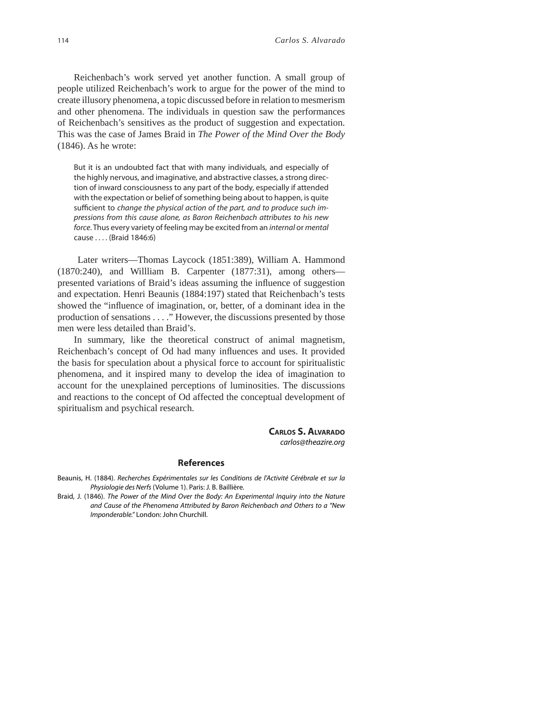Reichenbach's work served yet another function. A small group of people utilized Reichenbach's work to argue for the power of the mind to create illusory phenomena, a topic discussed before in relation to mesmerism and other phenomena. The individuals in question saw the performances of Reichenbach's sensitives as the product of suggestion and expectation. This was the case of James Braid in *The Power of the Mind Over the Body* (1846). As he wrote:

But it is an undoubted fact that with many individuals, and especially of the highly nervous, and imaginative, and abstractive classes, a strong direction of inward consciousness to any part of the body, especially if attended with the expectation or belief of something being about to happen, is quite sufficient to change the physical action of the part, and to produce such impressions from this cause alone, as Baron Reichenbach attributes to his new force. Thus every variety of feeling may be excited from an internal or mental cause . . . . (Braid 1846:6)

 Later writers—Thomas Laycock (1851:389), William A. Hammond (1870:240), and Willliam B. Carpenter (1877:31), among others presented variations of Braid's ideas assuming the influence of suggestion and expectation. Henri Beaunis (1884:197) stated that Reichenbach's tests showed the "influence of imagination, or, better, of a dominant idea in the production of sensations  $\dots$ ." However, the discussions presented by those men were less detailed than Braid's.

In summary, like the theoretical construct of animal magnetism, Reichenbach's concept of Od had many influences and uses. It provided the basis for speculation about a physical force to account for spiritualistic phenomena, and it inspired many to develop the idea of imagination to account for the unexplained perceptions of luminosities. The discussions and reactions to the concept of Od affected the conceptual development of spiritualism and psychical research.

> **CARLOS S. ALVARADO** carlos@theazire.org

## **References**

Beaunis, H. (1884). Recherches Expérimentales sur les Conditions de l'Activité Cérébrale et sur la Physiologie des Nerfs (Volume 1). Paris: J. B. Baillière.

Braid, J. (1846). The Power of the Mind Over the Body: An Experimental Inquiry into the Nature and Cause of the Phenomena Attributed by Baron Reichenbach and Others to a "New Imponderable." London: John Churchill.